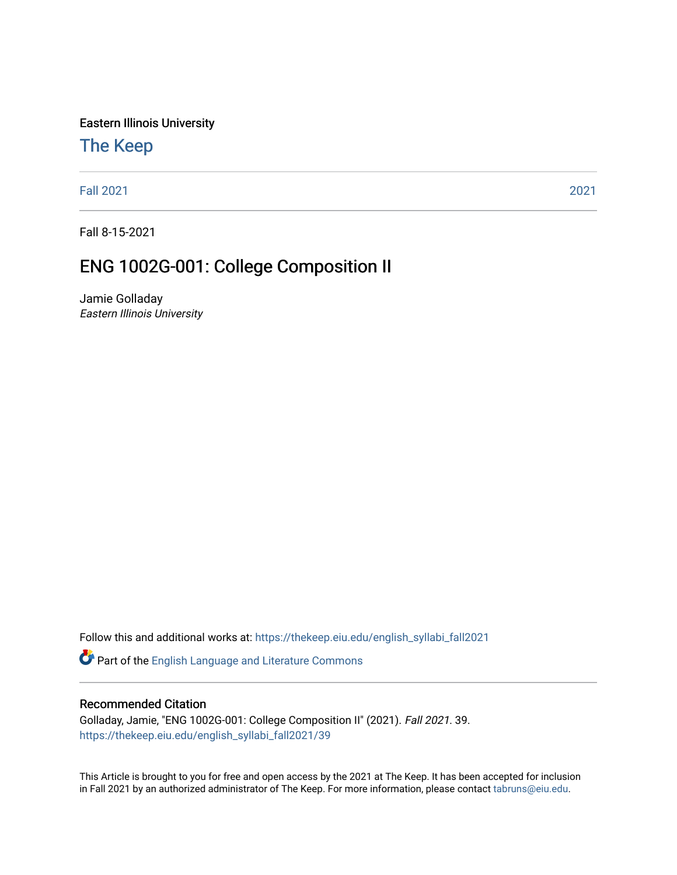Eastern Illinois University

# [The Keep](https://thekeep.eiu.edu/)

[Fall 2021](https://thekeep.eiu.edu/english_syllabi_fall2021) [2021](https://thekeep.eiu.edu/english_syllabi2021) 

Fall 8-15-2021

# ENG 1002G-001: College Composition II

Jamie Golladay Eastern Illinois University

Follow this and additional works at: [https://thekeep.eiu.edu/english\\_syllabi\\_fall2021](https://thekeep.eiu.edu/english_syllabi_fall2021?utm_source=thekeep.eiu.edu%2Fenglish_syllabi_fall2021%2F39&utm_medium=PDF&utm_campaign=PDFCoverPages) 

Part of the [English Language and Literature Commons](http://network.bepress.com/hgg/discipline/455?utm_source=thekeep.eiu.edu%2Fenglish_syllabi_fall2021%2F39&utm_medium=PDF&utm_campaign=PDFCoverPages)

#### Recommended Citation

Golladay, Jamie, "ENG 1002G-001: College Composition II" (2021). Fall 2021. 39. [https://thekeep.eiu.edu/english\\_syllabi\\_fall2021/39](https://thekeep.eiu.edu/english_syllabi_fall2021/39?utm_source=thekeep.eiu.edu%2Fenglish_syllabi_fall2021%2F39&utm_medium=PDF&utm_campaign=PDFCoverPages)

This Article is brought to you for free and open access by the 2021 at The Keep. It has been accepted for inclusion in Fall 2021 by an authorized administrator of The Keep. For more information, please contact [tabruns@eiu.edu](mailto:tabruns@eiu.edu).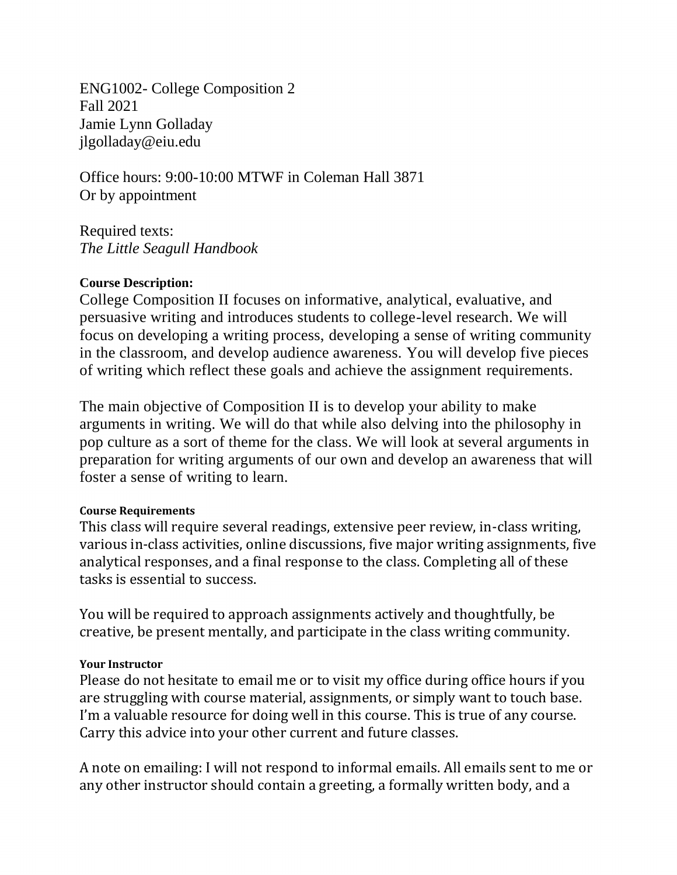ENG1002- College Composition 2 Fall 2021 Jamie Lynn Golladay jlgolladay@eiu.edu

Office hours: 9:00-10:00 MTWF in Coleman Hall 3871 Or by appointment

Required texts: *The Little Seagull Handbook* 

#### **Course Description:**

College Composition II focuses on informative, analytical, evaluative, and persuasive writing and introduces students to college-level research. We will focus on developing a writing process, developing a sense of writing community in the classroom, and develop audience awareness. You will develop five pieces of writing which reflect these goals and achieve the assignment requirements.

The main objective of Composition II is to develop your ability to make arguments in writing. We will do that while also delving into the philosophy in pop culture as a sort of theme for the class. We will look at several arguments in preparation for writing arguments of our own and develop an awareness that will foster a sense of writing to learn.

#### **Course Requirements**

This class will require several readings, extensive peer review, in-class writing, various in-class activities, online discussions, five major writing assignments, five analytical responses, and a final response to the class. Completing all of these tasks is essential to success.

You will be required to approach assignments actively and thoughtfully, be creative, be present mentally, and participate in the class writing community.

#### **Your Instructor**

Please do not hesitate to email me or to visit my office during office hours if you are struggling with course material, assignments, or simply want to touch base. I'm a valuable resource for doing well in this course. This is true of any course. Carry this advice into your other current and future classes.

A note on emailing: I will not respond to informal emails. All emails sent to me or any other instructor should contain a greeting, a formally written body, and a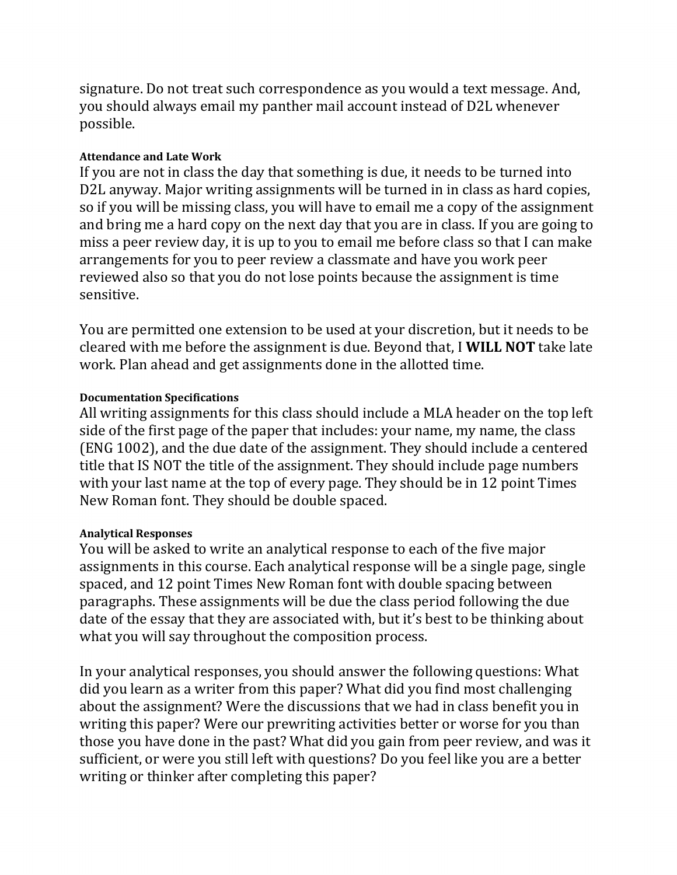signature. Do not treat such correspondence as you would a text message. And, you should always email my panther mail account instead of D2L whenever possible.

#### **Attendance and Late Work**

If you are not in class the day that something is due, it needs to be turned into D2L anyway. Major writing assignments will be turned in in class as hard copies, so if you will be missing class, you will have to email me a copy of the assignment and bring me a hard copy on the next day that you are in class. If you are going to miss a peer review day, it is up to you to email me before class so that I can make arrangements for you to peer review a classmate and have you work peer reviewed also so that you do not lose points because the assignment is time sensitive.

You are permitted one extension to be used at your discretion, but it needs to be cleared with me before the assignment is due. Beyond that, I **WILL NOT** take late work. Plan ahead and get assignments done in the allotted time.

#### **Documentation Specifications**

All writing assignments for this class should include a MLA header on the top left side of the first page of the paper that includes: your name, my name, the class (ENG 1002), and the due date of the assignment. They should include a centered title that IS NOT the title of the assignment. They should include page numbers with your last name at the top of every page. They should be in 12 point Times New Roman font. They should be double spaced.

#### **Analytical Responses**

You will be asked to write an analytical response to each of the five major assignments in this course. Each analytical response will be a single page, single spaced, and 12 point Times New Roman font with double spacing between paragraphs. These assignments will be due the class period following the due date of the essay that they are associated with, but it's best to be thinking about what you will say throughout the composition process.

In your analytical responses, you should answer the following questions: What did you learn as a writer from this paper? What did you find most challenging about the assignment? Were the discussions that we had in class benefit you in writing this paper? Were our prewriting activities better or worse for you than those you have done in the past? What did you gain from peer review, and was it sufficient, or were you still left with questions? Do you feel like you are a better writing or thinker after completing this paper?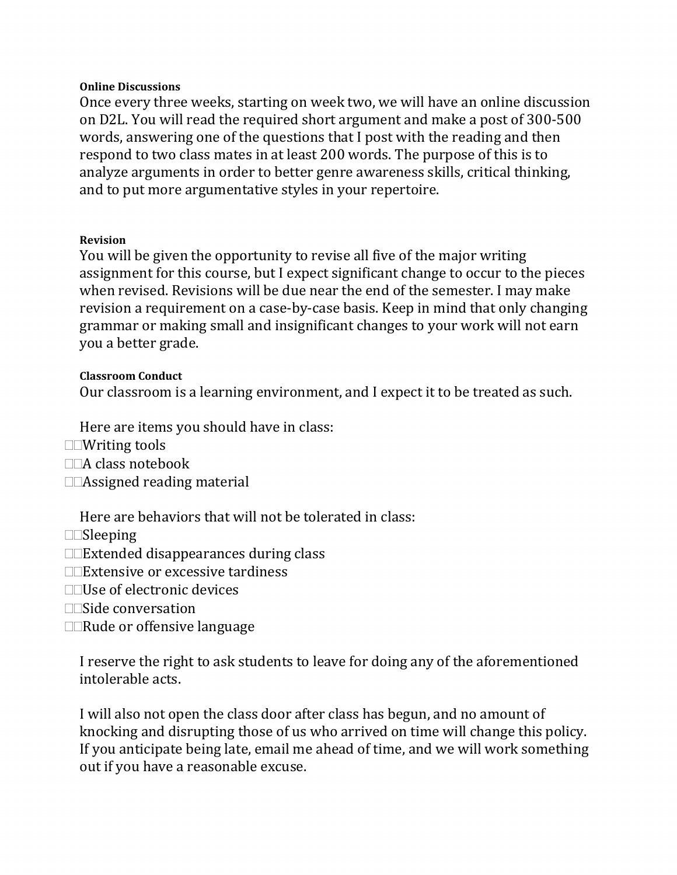#### **Online Discussions**

Once every three weeks, starting on week two, we will have an online discussion on D2L. You will read the required short argument and make a post of 300-500 words, answering one of the questions that I post with the reading and then respond to two class mates in at least 200 words. The purpose of this is to analyze arguments in order to better genre awareness skills, critical thinking, and to put more argumentative styles in your repertoire.

#### **Revision**

You will be given the opportunity to revise all five of the major writing assignment for this course, but I expect significant change to occur to the pieces when revised. Revisions will be due near the end of the semester. I may make revision a requirement on a case-by-case basis. Keep in mind that only changing grammar or making small and insignificant changes to your work will not earn you a better grade.

#### **Classroom Conduct**

Our classroom is a learning environment, and I expect it to be treated as such.

Here are items you should have in class:

- Writing tools
- $\Box\Box A$  class notebook
- □□Assigned reading material

Here are behaviors that will not be tolerated in class:

- $\square$ Sleeping
- $\square$ Extended disappearances during class
- □□Extensive or excessive tardiness
- $\Box$ Use of electronic devices
- $\square$ Side conversation
- □□Rude or offensive language

I reserve the right to ask students to leave for doing any of the aforementioned intolerable acts.

I will also not open the class door after class has begun, and no amount of knocking and disrupting those of us who arrived on time will change this policy. If you anticipate being late, email me ahead of time, and we will work something out if you have a reasonable excuse.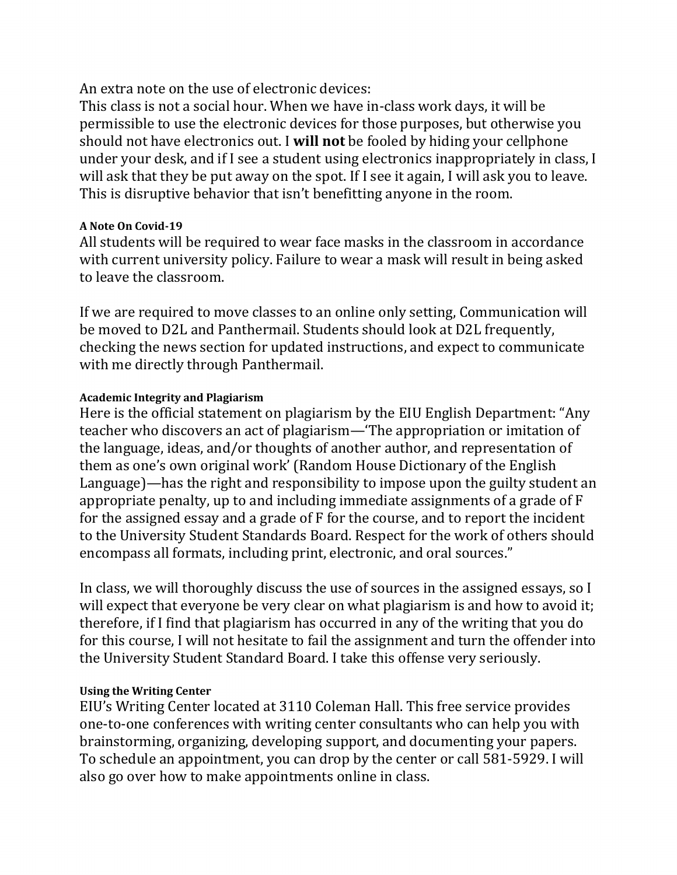An extra note on the use of electronic devices:

This class is not a social hour. When we have in-class work days, it will be permissible to use the electronic devices for those purposes, but otherwise you should not have electronics out. I **will not** be fooled by hiding your cellphone under your desk, and if I see a student using electronics inappropriately in class, I will ask that they be put away on the spot. If I see it again, I will ask you to leave. This is disruptive behavior that isn't benefitting anyone in the room.

#### **A Note On Covid-19**

All students will be required to wear face masks in the classroom in accordance with current university policy. Failure to wear a mask will result in being asked to leave the classroom.

If we are required to move classes to an online only setting, Communication will be moved to D2L and Panthermail. Students should look at D2L frequently, checking the news section for updated instructions, and expect to communicate with me directly through Panthermail.

#### **Academic Integrity and Plagiarism**

Here is the official statement on plagiarism by the EIU English Department: "Any teacher who discovers an act of plagiarism—'The appropriation or imitation of the language, ideas, and/or thoughts of another author, and representation of them as one's own original work' (Random House Dictionary of the English Language)—has the right and responsibility to impose upon the guilty student an appropriate penalty, up to and including immediate assignments of a grade of F for the assigned essay and a grade of F for the course, and to report the incident to the University Student Standards Board. Respect for the work of others should encompass all formats, including print, electronic, and oral sources."

In class, we will thoroughly discuss the use of sources in the assigned essays, so I will expect that everyone be very clear on what plagiarism is and how to avoid it; therefore, if I find that plagiarism has occurred in any of the writing that you do for this course, I will not hesitate to fail the assignment and turn the offender into the University Student Standard Board. I take this offense very seriously.

#### **Using the Writing Center**

EIU's Writing Center located at 3110 Coleman Hall. This free service provides one-to-one conferences with writing center consultants who can help you with brainstorming, organizing, developing support, and documenting your papers. To schedule an appointment, you can drop by the center or call 581-5929. I will also go over how to make appointments online in class.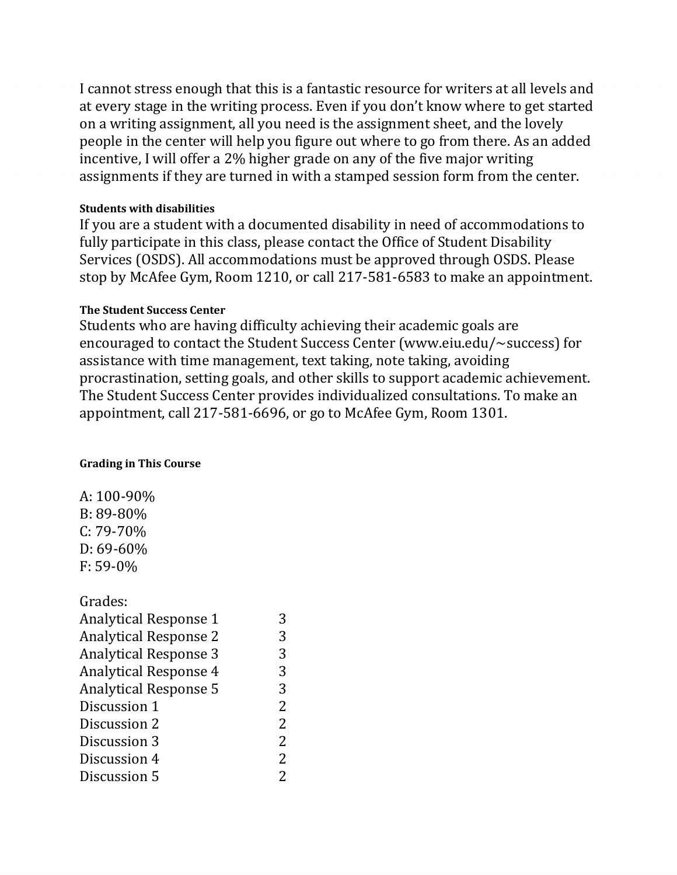I cannot stress enough that this is a fantastic resource for writers at all levels and at every stage in the writing process. Even if you don't know where to get started on a writing assignment, all you need is the assignment sheet, and the lovely people in the center will help you figure out where to go from there. As an added incentive, I will offer a 2% higher grade on any of the five major writing assignments if they are turned in with a stamped session form from the center.

#### **Students with disabilities**

If you are a student with a documented disability in need of accommodations to fully participate in this class, please contact the Office of Student Disability Services (OSDS). All accommodations must be approved through OSDS. Please stop by McAfee Gym, Room 1210, or call 217-581-6583 to make an appointment.

#### **The Student Success Center**

Students who are having difficulty achieving their academic goals are encouraged to contact the Student Success Center (www.eiu.edu/~success) for assistance with time management, text taking, note taking, avoiding procrastination, setting goals, and other skills to support academic achievement. The Student Success Center provides individualized consultations. To make an appointment, call 217-581-6696, or go to McAfee Gym, Room 1301.

#### **Grading in This Course**

A: 100-90% B: 89-80% C: 79-70% D: 69-60% F: 59-0%

Grades: Analytical Response 1 3 Analytical Response 2 3 Analytical Response 3 3<br>Analytical Response 4 3 Analytical Response 4 3 Analytical Response 5 3 Discussion 1 2 Discussion 2 2 Discussion 3 2 Discussion 4 2 Discussion 5 2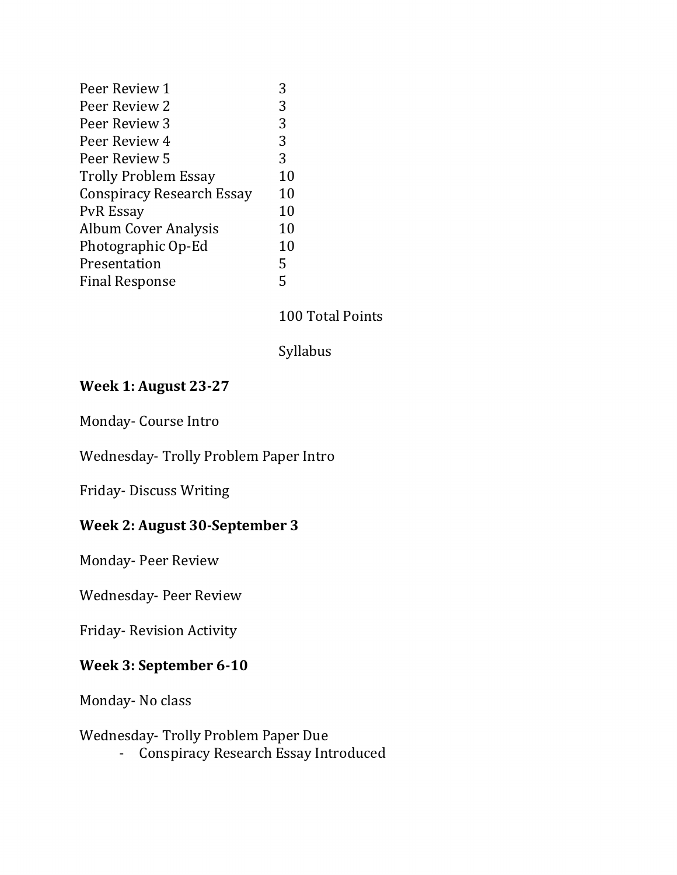| Peer Review 1                    |    |
|----------------------------------|----|
| Peer Review 2                    | 3  |
| Peer Review 3                    | 3  |
| Peer Review 4                    | 3  |
| Peer Review 5                    | 3  |
| <b>Trolly Problem Essay</b>      | 10 |
| <b>Conspiracy Research Essay</b> | 10 |
| <b>PvR</b> Essay                 | 10 |
| <b>Album Cover Analysis</b>      | 10 |
| Photographic Op-Ed               | 10 |
| Presentation                     | 5  |
| <b>Final Response</b>            | 5  |
|                                  |    |

#### 100 Total Points

Syllabus

## **Week 1: August 23-27**

Monday- Course Intro

Wednesday- Trolly Problem Paper Intro

Friday- Discuss Writing

### **Week 2: August 30-September 3**

Monday- Peer Review

Wednesday- Peer Review

Friday- Revision Activity

### **Week 3: September 6-10**

Monday- No class

Wednesday- Trolly Problem Paper Due

- Conspiracy Research Essay Introduced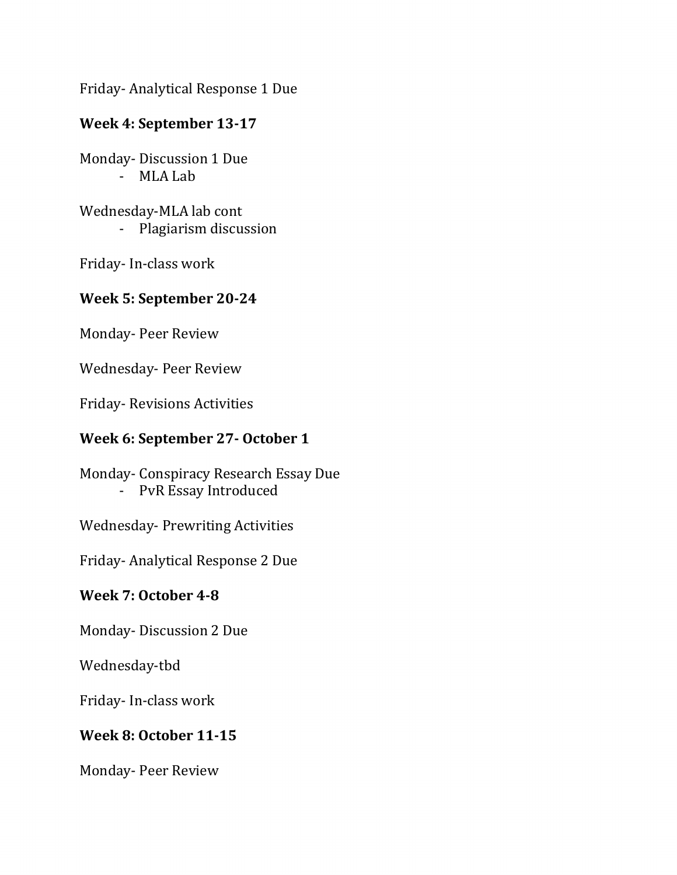Friday- Analytical Response 1 Due

### **Week 4: September 13-17**

Monday- Discussion 1 Due - MLA Lab

Wednesday-MLA lab cont - Plagiarism discussion

Friday- In-class work

### **Week 5: September 20-24**

Monday- Peer Review

Wednesday- Peer Review

Friday- Revisions Activities

### **Week 6: September 27- October 1**

Monday- Conspiracy Research Essay Due - PvR Essay Introduced

Wednesday- Prewriting Activities

Friday- Analytical Response 2 Due

### **Week 7: October 4-8**

Monday- Discussion 2 Due

Wednesday-tbd

Friday- In-class work

### **Week 8: October 11-15**

Monday- Peer Review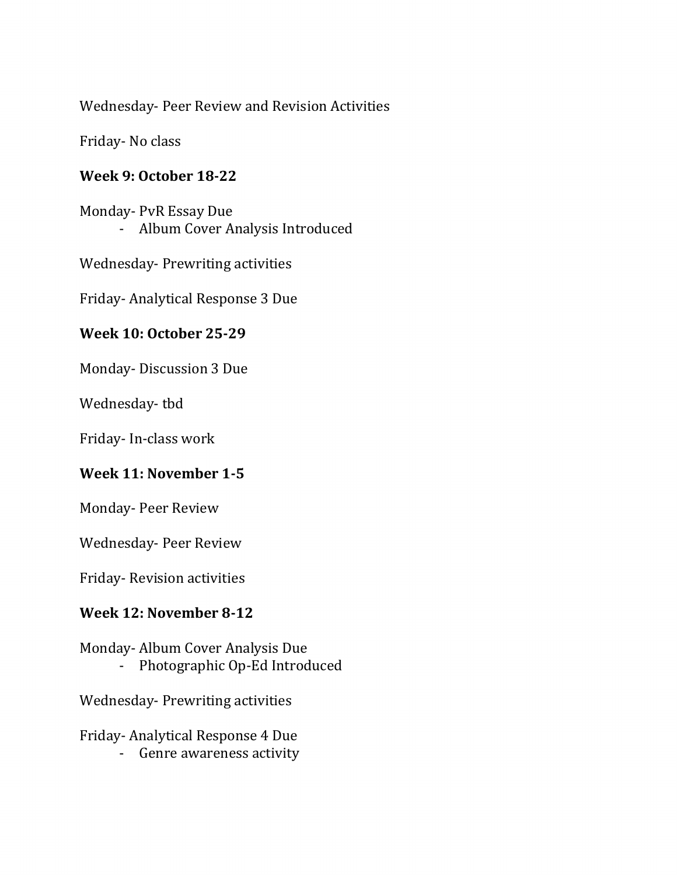Wednesday- Peer Review and Revision Activities

Friday- No class

## **Week 9: October 18-22**

Monday- PvR Essay Due - Album Cover Analysis Introduced

Wednesday- Prewriting activities

Friday- Analytical Response 3 Due

# **Week 10: October 25-29**

Monday- Discussion 3 Due

Wednesday- tbd

Friday- In-class work

# **Week 11: November 1-5**

Monday- Peer Review

Wednesday- Peer Review

Friday- Revision activities

# **Week 12: November 8-12**

Monday- Album Cover Analysis Due - Photographic Op-Ed Introduced

Wednesday- Prewriting activities

Friday- Analytical Response 4 Due - Genre awareness activity